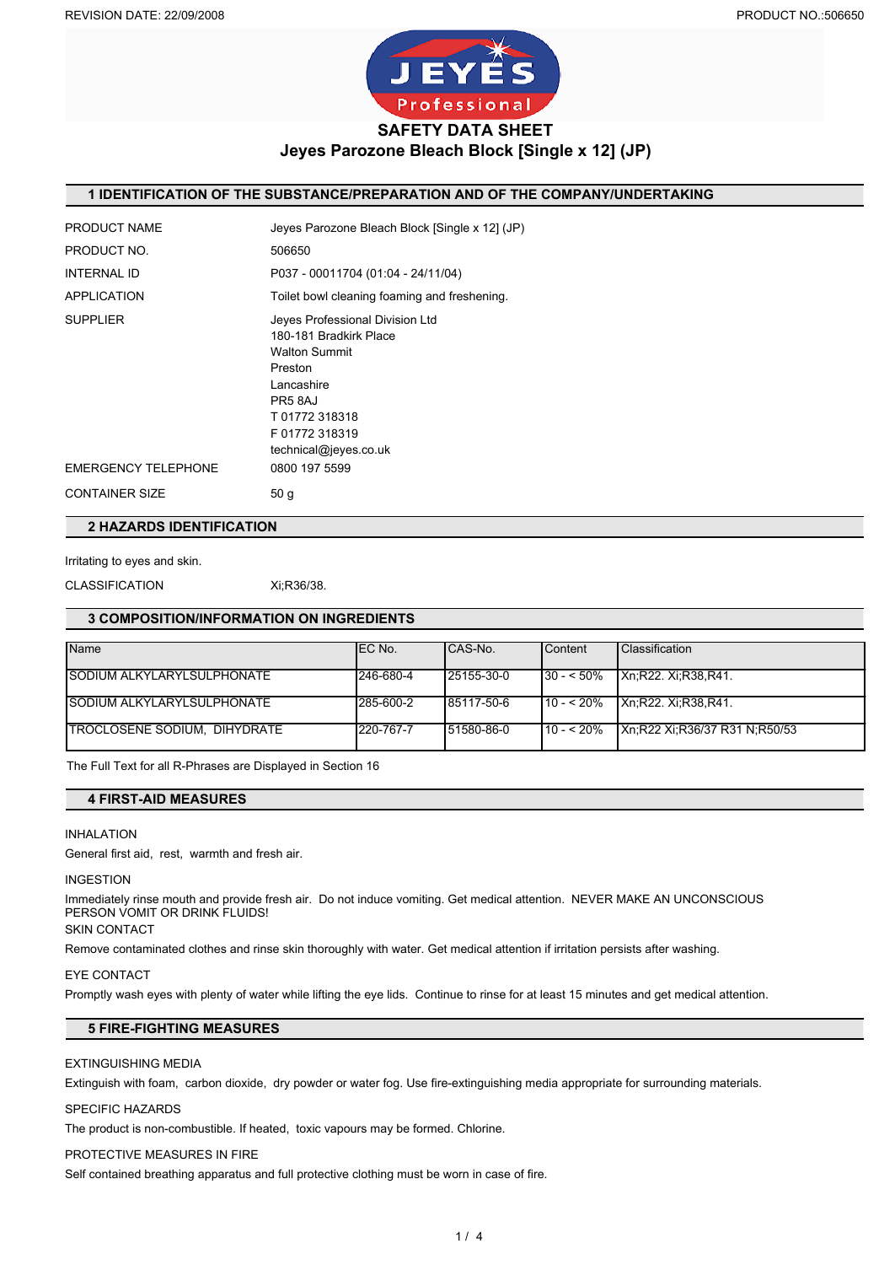

## **Jeyes Parozone Bleach Block [Single x 12] (JP)**

## **1 IDENTIFICATION OF THE SUBSTANCE/PREPARATION AND OF THE COMPANY/UNDERTAKING**

| PRODUCT NAME               | Jeves Parozone Bleach Block [Single x 12] (JP)                                                                                                                                 |
|----------------------------|--------------------------------------------------------------------------------------------------------------------------------------------------------------------------------|
| PRODUCT NO.                | 506650                                                                                                                                                                         |
| INTERNAL ID                | P037 - 00011704 (01:04 - 24/11/04)                                                                                                                                             |
| APPLICATION                | Toilet bowl cleaning foaming and freshening.                                                                                                                                   |
| <b>SUPPLIER</b>            | Jeyes Professional Division Ltd<br>180-181 Bradkirk Place<br><b>Walton Summit</b><br>Preston<br>Lancashire<br>PR5 8AJ<br>T01772318318<br>F01772318319<br>technical@jeyes.co.uk |
| <b>EMERGENCY TELEPHONE</b> | 0800 197 5599                                                                                                                                                                  |
| <b>CONTAINER SIZE</b>      | 50 <sub>q</sub>                                                                                                                                                                |

## **2 HAZARDS IDENTIFICATION**

```
Irritating to eyes and skin.
```
CLASSIFICATION Xi;R36/38.

#### **3 COMPOSITION/INFORMATION ON INGREDIENTS**

| <b>Name</b>                       | IEC No.   | CAS-No.     | Content      | <b>Classification</b>         |
|-----------------------------------|-----------|-------------|--------------|-------------------------------|
| SODIUM ALKYLARYLSULPHONATE        | 246-680-4 | 125155-30-0 | $130 - 50\%$ | Xn:R22. Xi:R38,R41.           |
| <b>SODIUM ALKYLARYLSULPHONATE</b> | 285-600-2 | 85117-50-6  | $10 - 520%$  | Xn:R22. Xi:R38.R41.           |
| TROCLOSENE SODIUM, DIHYDRATE      | 220-767-7 | 151580-86-0 | $110 - 520%$ | Xn;R22 Xi;R36/37 R31 N;R50/53 |

The Full Text for all R-Phrases are Displayed in Section 16

## **4 FIRST-AID MEASURES**

### INHALATION

General first aid, rest, warmth and fresh air.

#### INGESTION

Immediately rinse mouth and provide fresh air. Do not induce vomiting. Get medical attention. NEVER MAKE AN UNCONSCIOUS PERSON VOMIT OR DRINK FLUIDS!

## SKIN CONTACT

Remove contaminated clothes and rinse skin thoroughly with water. Get medical attention if irritation persists after washing.

#### EYE CONTACT

Promptly wash eyes with plenty of water while lifting the eye lids. Continue to rinse for at least 15 minutes and get medical attention.

## **5 FIRE-FIGHTING MEASURES**

## EXTINGUISHING MEDIA

Extinguish with foam, carbon dioxide, dry powder or water fog. Use fire-extinguishing media appropriate for surrounding materials.

#### SPECIFIC HAZARDS

The product is non-combustible. If heated, toxic vapours may be formed. Chlorine.

#### PROTECTIVE MEASURES IN FIRE

Self contained breathing apparatus and full protective clothing must be worn in case of fire.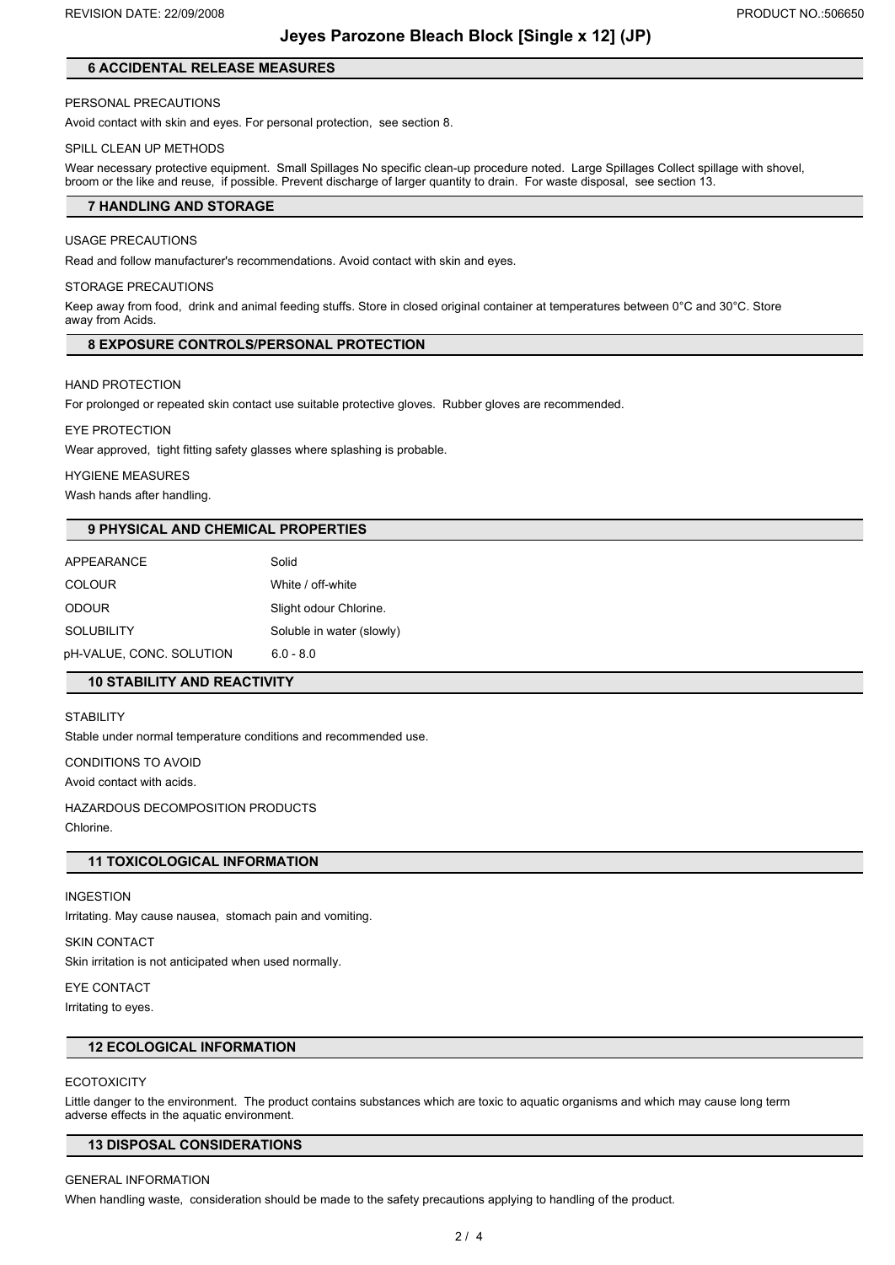## **Jeyes Parozone Bleach Block [Single x 12] (JP)**

## **6 ACCIDENTAL RELEASE MEASURES**

#### PERSONAL PRECAUTIONS

Avoid contact with skin and eyes. For personal protection, see section 8.

#### SPILL CLEAN UP METHODS

Wear necessary protective equipment. Small Spillages No specific clean-up procedure noted. Large Spillages Collect spillage with shovel, broom or the like and reuse, if possible. Prevent discharge of larger quantity to drain. For waste disposal, see section 13.

#### **7 HANDLING AND STORAGE**

#### USAGE PRECAUTIONS

Read and follow manufacturer's recommendations. Avoid contact with skin and eyes.

#### STORAGE PRECAUTIONS

Keep away from food, drink and animal feeding stuffs. Store in closed original container at temperatures between 0°C and 30°C. Store away from Acids.

#### **8 EXPOSURE CONTROLS/PERSONAL PROTECTION**

HAND PROTECTION

For prolonged or repeated skin contact use suitable protective gloves. Rubber gloves are recommended.

EYE PROTECTION

Wear approved, tight fitting safety glasses where splashing is probable.

#### HYGIENE MEASURES

Wash hands after handling.

## **9 PHYSICAL AND CHEMICAL PROPERTIES**

| <b>APPEARANCE</b>        | Solid                     |
|--------------------------|---------------------------|
| <b>COLOUR</b>            | White / off-white         |
| <b>ODOUR</b>             | Slight odour Chlorine.    |
| <b>SOLUBILITY</b>        | Soluble in water (slowly) |
| pH-VALUE, CONC. SOLUTION | $6.0 - 8.0$               |

## **10 STABILITY AND REACTIVITY**

**STABILITY** 

Stable under normal temperature conditions and recommended use.

CONDITIONS TO AVOID

Avoid contact with acids.

HAZARDOUS DECOMPOSITION PRODUCTS Chlorine.

## **11 TOXICOLOGICAL INFORMATION**

#### INGESTION

Irritating. May cause nausea, stomach pain and vomiting.

## SKIN CONTACT

Skin irritation is not anticipated when used normally.

EYE CONTACT

Irritating to eyes.

## **12 ECOLOGICAL INFORMATION**

#### **ECOTOXICITY**

Little danger to the environment. The product contains substances which are toxic to aquatic organisms and which may cause long term adverse effects in the aquatic environment.

### **13 DISPOSAL CONSIDERATIONS**

#### GENERAL INFORMATION

When handling waste, consideration should be made to the safety precautions applying to handling of the product.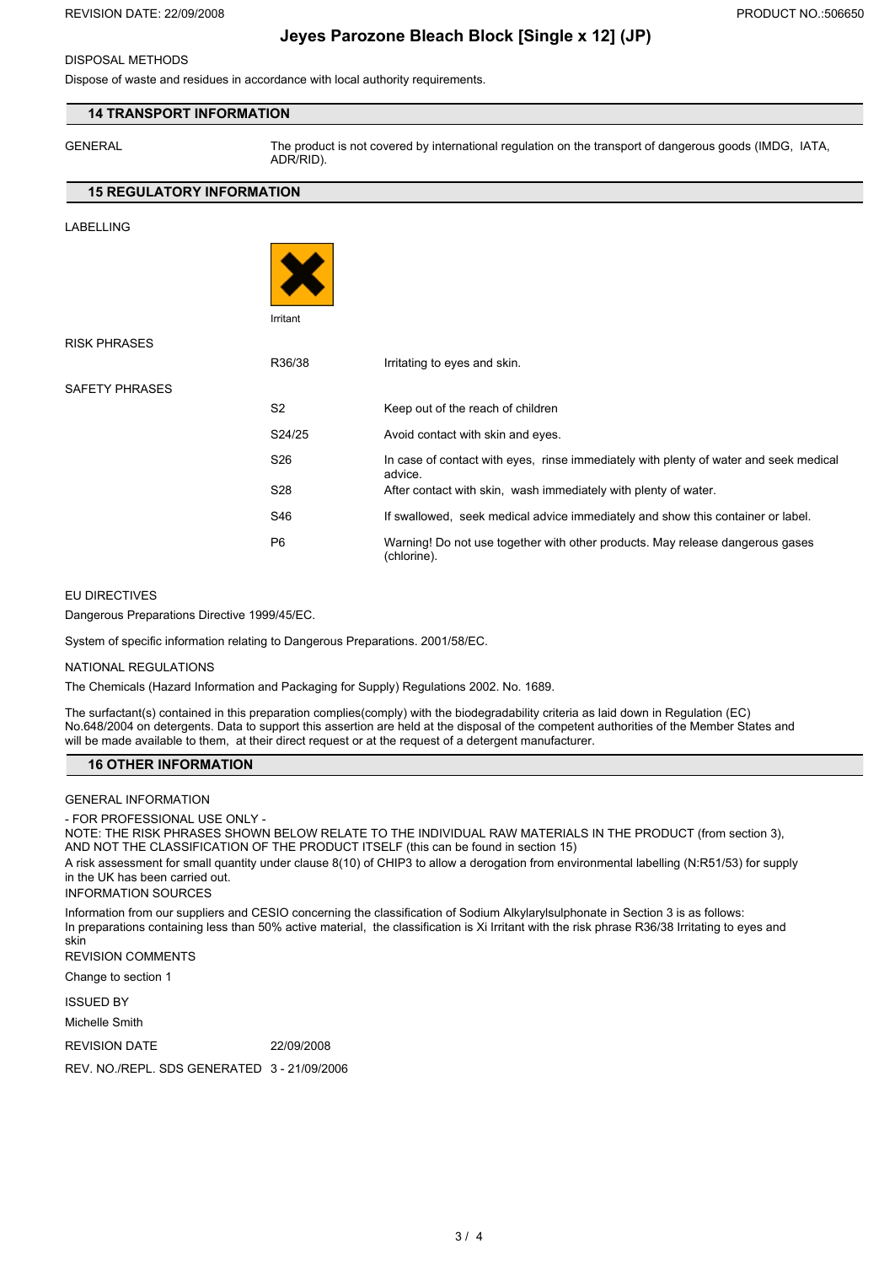## DISPOSAL METHODS

Dispose of waste and residues in accordance with local authority requirements.

## **14 TRANSPORT INFORMATION**

GENERAL The product is not covered by international regulation on the transport of dangerous goods (IMDG, IATA, ADR/RID).

### **15 REGULATORY INFORMATION**

LABELLING



RISK PHRASES

SAFETY PHRASES

| R36/38          | Irritating to eyes and skin.                                                                     |
|-----------------|--------------------------------------------------------------------------------------------------|
| S <sub>2</sub>  | Keep out of the reach of children                                                                |
| S24/25          | Avoid contact with skin and eyes.                                                                |
| S <sub>26</sub> | In case of contact with eyes, rinse immediately with plenty of water and seek medical<br>advice. |
| S <sub>28</sub> | After contact with skin, wash immediately with plenty of water.                                  |
| S46             | If swallowed, seek medical advice immediately and show this container or label.                  |
| P <sub>6</sub>  | Warning! Do not use together with other products. May release dangerous gases<br>(chlorine).     |

#### EU DIRECTIVES

Dangerous Preparations Directive 1999/45/EC.

System of specific information relating to Dangerous Preparations. 2001/58/EC.

#### NATIONAL REGULATIONS

The Chemicals (Hazard Information and Packaging for Supply) Regulations 2002. No. 1689.

The surfactant(s) contained in this preparation complies(comply) with the biodegradability criteria as laid down in Regulation (EC) No.648/2004 on detergents. Data to support this assertion are held at the disposal of the competent authorities of the Member States and will be made available to them, at their direct request or at the request of a detergent manufacturer.

#### **16 OTHER INFORMATION**

GENERAL INFORMATION

- FOR PROFESSIONAL USE ONLY -

NOTE: THE RISK PHRASES SHOWN BELOW RELATE TO THE INDIVIDUAL RAW MATERIALS IN THE PRODUCT (from section 3), AND NOT THE CLASSIFICATION OF THE PRODUCT ITSELF (this can be found in section 15) A risk assessment for small quantity under clause 8(10) of CHIP3 to allow a derogation from environmental labelling (N:R51/53) for supply in the UK has been carried out. INFORMATION SOURCES

Information from our suppliers and CESIO concerning the classification of Sodium Alkylarylsulphonate in Section 3 is as follows: In preparations containing less than 50% active material, the classification is Xi Irritant with the risk phrase R36/38 Irritating to eyes and skin

REVISION COMMENTS

Change to section 1

ISSUED BY

Michelle Smith

REVISION DATE 22/09/2008

REV. NO./REPL. SDS GENERATED 3 - 21/09/2006